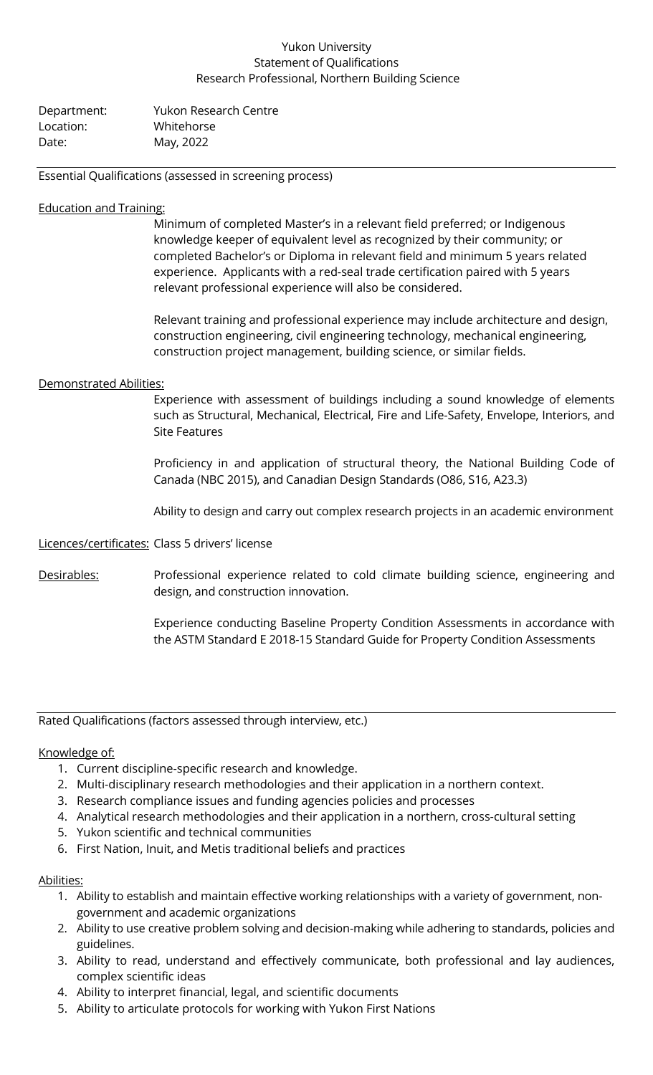## Yukon University Statement of Qualifications Research Professional, Northern Building Science

| Department: | <b>Yukon Research Centre</b> |
|-------------|------------------------------|
| Location:   | Whitehorse                   |
| Date:       | May, 2022                    |

Essential Qualifications (assessed in screening process)

### Education and Training:

Minimum of completed Master's in a relevant field preferred; or Indigenous knowledge keeper of equivalent level as recognized by their community; or completed Bachelor's or Diploma in relevant field and minimum 5 years related experience. Applicants with a red-seal trade certification paired with 5 years relevant professional experience will also be considered.

Relevant training and professional experience may include architecture and design, construction engineering, civil engineering technology, mechanical engineering, construction project management, building science, or similar fields.

### Demonstrated Abilities:

Experience with assessment of buildings including a sound knowledge of elements such as Structural, Mechanical, Electrical, Fire and Life-Safety, Envelope, Interiors, and Site Features

Proficiency in and application of structural theory, the National Building Code of Canada (NBC 2015), and Canadian Design Standards (O86, S16, A23.3)

Ability to design and carry out complex research projects in an academic environment

Licences/certificates: Class 5 drivers' license

Desirables: Professional experience related to cold climate building science, engineering and design, and construction innovation.

> Experience conducting Baseline Property Condition Assessments in accordance with the ASTM Standard E 2018-15 Standard Guide for Property Condition Assessments

Rated Qualifications (factors assessed through interview, etc.)

### Knowledge of:

- 1. Current discipline-specific research and knowledge.
- 2. Multi-disciplinary research methodologies and their application in a northern context.
- 3. Research compliance issues and funding agencies policies and processes
- 4. Analytical research methodologies and their application in a northern, cross-cultural setting
- 5. Yukon scientific and technical communities
- 6. First Nation, Inuit, and Metis traditional beliefs and practices

### Abilities:

- 1. Ability to establish and maintain effective working relationships with a variety of government, nongovernment and academic organizations
- 2. Ability to use creative problem solving and decision-making while adhering to standards, policies and guidelines.
- 3. Ability to read, understand and effectively communicate, both professional and lay audiences, complex scientific ideas
- 4. Ability to interpret financial, legal, and scientific documents
- 5. Ability to articulate protocols for working with Yukon First Nations